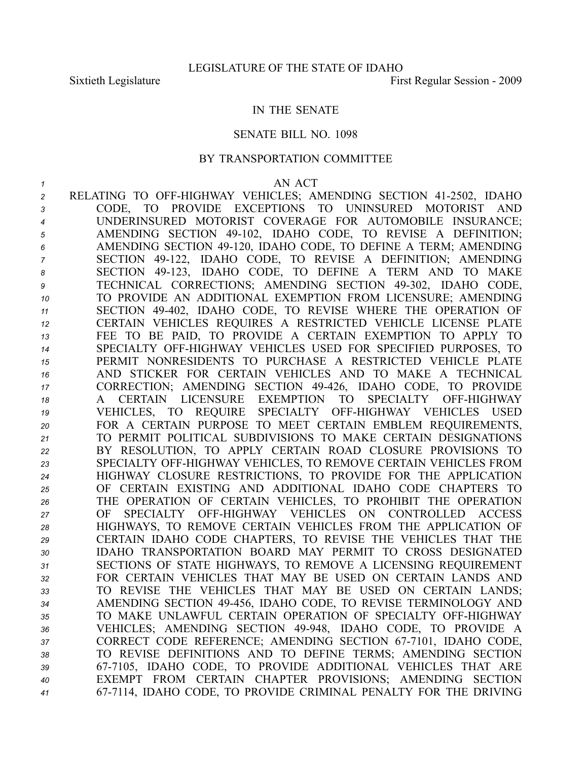## IN THE SENATE

## SENATE BILL NO. 1098

## BY TRANSPORTATION COMMITTEE

## *1* AN ACT

 RELATING TO OFFHIGHWAY VEHICLES; AMENDING SECTION 412502, IDAHO CODE, TO PROVIDE EXCEPTIONS TO UNINSURED MOTORIST AND UNDERINSURED MOTORIST COVERAGE FOR AUTOMOBILE INSURANCE; AMENDING SECTION 49102, IDAHO CODE, TO REVISE A DEFINITION; AMENDING SECTION 49120, IDAHO CODE, TO DEFINE A TERM; AMENDING SECTION 49122, IDAHO CODE, TO REVISE A DEFINITION; AMENDING SECTION 49123, IDAHO CODE, TO DEFINE A TERM AND TO MAKE TECHNICAL CORRECTIONS; AMENDING SECTION 49302, IDAHO CODE, TO PROVIDE AN ADDITIONAL EXEMPTION FROM LICENSURE; AMENDING SECTION 49402, IDAHO CODE, TO REVISE WHERE THE OPERATION OF CERTAIN VEHICLES REQUIRES A RESTRICTED VEHICLE LICENSE PLATE FEE TO BE PAID, TO PROVIDE A CERTAIN EXEMPTION TO APPLY TO 14 SPECIALTY OFF-HIGHWAY VEHICLES USED FOR SPECIFIED PURPOSES, TO PERMIT NONRESIDENTS TO PURCHASE A RESTRICTED VEHICLE PLATE AND STICKER FOR CERTAIN VEHICLES AND TO MAKE A TECHNICAL CORRECTION; AMENDING SECTION 49426, IDAHO CODE, TO PROVIDE A CERTAIN LICENSURE EXEMPTION TO SPECIALTY OFFHIGHWAY 19 VEHICLES, TO REQUIRE SPECIALTY OFF-HIGHWAY VEHICLES USED FOR A CERTAIN PURPOSE TO MEET CERTAIN EMBLEM REQUIREMENTS, TO PERMIT POLITICAL SUBDIVISIONS TO MAKE CERTAIN DESIGNATIONS BY RESOLUTION, TO APPLY CERTAIN ROAD CLOSURE PROVISIONS TO SPECIALTY OFFHIGHWAY VEHICLES, TO REMOVE CERTAIN VEHICLES FROM HIGHWAY CLOSURE RESTRICTIONS, TO PROVIDE FOR THE APPLICATION OF CERTAIN EXISTING AND ADDITIONAL IDAHO CODE CHAPTERS TO THE OPERATION OF CERTAIN VEHICLES, TO PROHIBIT THE OPERATION OF SPECIALTY OFFHIGHWAY VEHICLES ON CONTROLLED ACCESS HIGHWAYS, TO REMOVE CERTAIN VEHICLES FROM THE APPLICATION OF CERTAIN IDAHO CODE CHAPTERS, TO REVISE THE VEHICLES THAT THE IDAHO TRANSPORTATION BOARD MAY PERMIT TO CROSS DESIGNATED SECTIONS OF STATE HIGHWAYS, TO REMOVE A LICENSING REQUIREMENT FOR CERTAIN VEHICLES THAT MAY BE USED ON CERTAIN LANDS AND TO REVISE THE VEHICLES THAT MAY BE USED ON CERTAIN LANDS; AMENDING SECTION 49456, IDAHO CODE, TO REVISE TERMINOLOGY AND TO MAKE UNLAWFUL CERTAIN OPERATION OF SPECIALTY OFFHIGHWAY 36 VEHICLES; AMENDING SECTION 49-948, IDAHO CODE, TO PROVIDE A 37 CORRECT CODE REFERENCE; AMENDING SECTION 67-7101, IDAHO CODE, TO REVISE DEFINITIONS AND TO DEFINE TERMS; AMENDING SECTION 677105, IDAHO CODE, TO PROVIDE ADDITIONAL VEHICLES THAT ARE EXEMPT FROM CERTAIN CHAPTER PROVISIONS; AMENDING SECTION 677114, IDAHO CODE, TO PROVIDE CRIMINAL PENALTY FOR THE DRIVING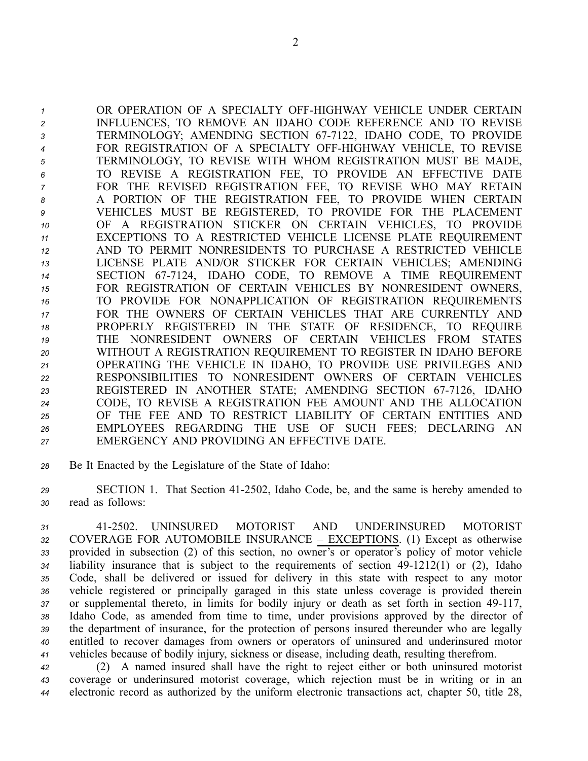1 OR OPERATION OF A SPECIALTY OFF-HIGHWAY VEHICLE UNDER CERTAIN INFLUENCES, TO REMOVE AN IDAHO CODE REFERENCE AND TO REVISE TERMINOLOGY; AMENDING SECTION 677122, IDAHO CODE, TO PROVIDE FOR REGISTRATION OF A SPECIALTY OFFHIGHWAY VEHICLE, TO REVISE TERMINOLOGY, TO REVISE WITH WHOM REGISTRATION MUST BE MADE, TO REVISE A REGISTRATION FEE, TO PROVIDE AN EFFECTIVE DATE FOR THE REVISED REGISTRATION FEE, TO REVISE WHO MAY RETAIN A PORTION OF THE REGISTRATION FEE, TO PROVIDE WHEN CERTAIN VEHICLES MUST BE REGISTERED, TO PROVIDE FOR THE PLACEMENT OF A REGISTRATION STICKER ON CERTAIN VEHICLES, TO PROVIDE EXCEPTIONS TO A RESTRICTED VEHICLE LICENSE PLATE REQUIREMENT AND TO PERMIT NONRESIDENTS TO PURCHASE A RESTRICTED VEHICLE LICENSE PLATE AND/OR STICKER FOR CERTAIN VEHICLES; AMENDING SECTION 677124, IDAHO CODE, TO REMOVE A TIME REQUIREMENT FOR REGISTRATION OF CERTAIN VEHICLES BY NONRESIDENT OWNERS, TO PROVIDE FOR NONAPPLICATION OF REGISTRATION REQUIREMENTS FOR THE OWNERS OF CERTAIN VEHICLES THAT ARE CURRENTLY AND PROPERLY REGISTERED IN THE STATE OF RESIDENCE, TO REQUIRE THE NONRESIDENT OWNERS OF CERTAIN VEHICLES FROM STATES WITHOUT A REGISTRATION REQUIREMENT TO REGISTER IN IDAHO BEFORE OPERATING THE VEHICLE IN IDAHO, TO PROVIDE USE PRIVILEGES AND RESPONSIBILITIES TO NONRESIDENT OWNERS OF CERTAIN VEHICLES 23 REGISTERED IN ANOTHER STATE; AMENDING SECTION 67-7126, IDAHO CODE, TO REVISE A REGISTRATION FEE AMOUNT AND THE ALLOCATION OF THE FEE AND TO RESTRICT LIABILITY OF CERTAIN ENTITIES AND EMPLOYEES REGARDING THE USE OF SUCH FEES; DECLARING AN EMERGENCY AND PROVIDING AN EFFECTIVE DATE.

*<sup>28</sup>* Be It Enacted by the Legislature of the State of Idaho:

*<sup>29</sup>* SECTION 1. That Section 412502, Idaho Code, be, and the same is hereby amended to *<sup>30</sup>* read as follows:

 412502. UNINSURED MOTORIST AND UNDERINSURED MOTORIST COVERAGE FOR AUTOMOBILE INSURANCE – EXCEPTIONS. (1) Except as otherwise provided in subsection (2) of this section, no owner's or operator's policy of motor vehicle liability insurance that is subject to the requirements of section 49-1212(1) or (2), Idaho Code, shall be delivered or issued for delivery in this state with respec<sup>t</sup> to any motor vehicle registered or principally garaged in this state unless coverage is provided therein 37 or supplemental thereto, in limits for bodily injury or death as set forth in section 49-117, Idaho Code, as amended from time to time, under provisions approved by the director of the department of insurance, for the protection of persons insured thereunder who are legally entitled to recover damages from owners or operators of uninsured and underinsured motor vehicles because of bodily injury, sickness or disease, including death, resulting therefrom.

*<sup>42</sup>* (2) A named insured shall have the right to reject either or both uninsured motorist *<sup>43</sup>* coverage or underinsured motorist coverage, which rejection must be in writing or in an *<sup>44</sup>* electronic record as authorized by the uniform electronic transactions act, chapter 50, title 28,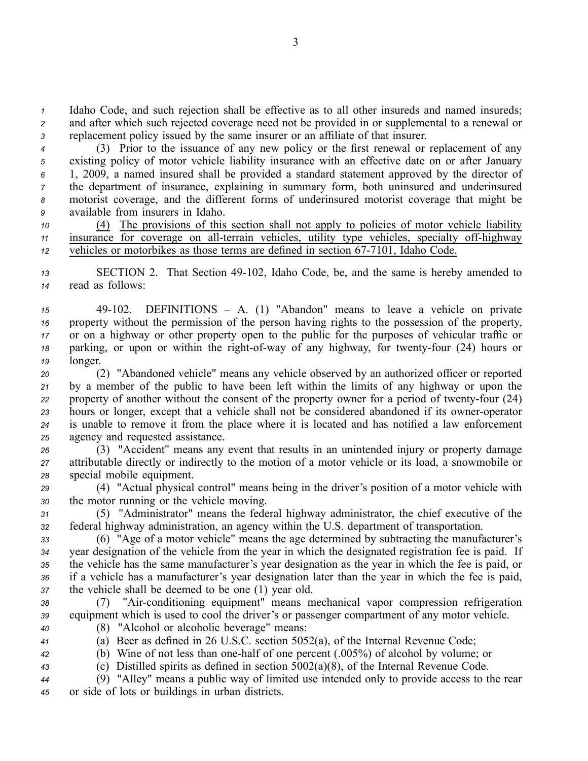*<sup>1</sup>* Idaho Code, and such rejection shall be effective as to all other insureds and named insureds; *<sup>2</sup>* and after which such rejected coverage need not be provided in or supplemental to <sup>a</sup> renewal or *<sup>3</sup>* replacement policy issued by the same insurer or an affiliate of that insurer.

 (3) Prior to the issuance of any new policy or the first renewal or replacement of any existing policy of motor vehicle liability insurance with an effective date on or after January 1, 2009, <sup>a</sup> named insured shall be provided <sup>a</sup> standard statement approved by the director of the department of insurance, explaining in summary form, both uninsured and underinsured motorist coverage, and the different forms of underinsured motorist coverage that might be available from insurers in Idaho.

*<sup>10</sup>* (4) The provisions of this section shall not apply to policies of motor vehicle liability *11* insurance for coverage on all-terrain vehicles, utility type vehicles, specialty off-highway *12* vehicles or motorbikes as those terms are defined in section 67-7101, Idaho Code.

13 SECTION 2. That Section 49-102, Idaho Code, be, and the same is hereby amended to *<sup>14</sup>* read as follows:

 49102. DEFINITIONS – A. (1) "Abandon" means to leave <sup>a</sup> vehicle on private property without the permission of the person having rights to the possession of the property, or on <sup>a</sup> highway or other property open to the public for the purposes of vehicular traffic or parking, or upon or within the right-of-way of any highway, for twenty-four (24) hours or *<sup>19</sup>* longer.

 (2) "Abandoned vehicle" means any vehicle observed by an authorized officer or reported by <sup>a</sup> member of the public to have been left within the limits of any highway or upon the 22 property of another without the consent of the property owner for a period of twenty-four (24) hours or longer, except that a vehicle shall not be considered abandoned if its owner-operator is unable to remove it from the place where it is located and has notified <sup>a</sup> law enforcement agency and requested assistance.

*<sup>26</sup>* (3) "Accident" means any event that results in an unintended injury or property damage *<sup>27</sup>* attributable directly or indirectly to the motion of <sup>a</sup> motor vehicle or its load, <sup>a</sup> snowmobile or *<sup>28</sup>* special mobile equipment.

*<sup>29</sup>* (4) "Actual physical control" means being in the driver's position of <sup>a</sup> motor vehicle with *<sup>30</sup>* the motor running or the vehicle moving.

*<sup>31</sup>* (5) "Administrator" means the federal highway administrator, the chief executive of the *<sup>32</sup>* federal highway administration, an agency within the U.S. department of transportation.

 (6) "Age of <sup>a</sup> motor vehicle" means the age determined by subtracting the manufacturer's year designation of the vehicle from the year in which the designated registration fee is paid. If the vehicle has the same manufacturer's year designation as the year in which the fee is paid, or if <sup>a</sup> vehicle has <sup>a</sup> manufacturer's year designation later than the year in which the fee is paid, the vehicle shall be deemed to be one (1) year old.

- *<sup>38</sup>* (7) "Airconditioning equipment" means mechanical vapor compression refrigeration *<sup>39</sup>* equipment which is used to cool the driver's or passenger compartment of any motor vehicle. *<sup>40</sup>* (8) "Alcohol or alcoholic beverage" means:
	-

*<sup>41</sup>* (a) Beer as defined in 26 U.S.C. section 5052(a), of the Internal Revenue Code;

*<sup>42</sup>* (b) Wine of not less than onehalf of one percen<sup>t</sup> (.005%) of alcohol by volume; or

*<sup>43</sup>* (c) Distilled spirits as defined in section 5002(a)(8), of the Internal Revenue Code.

*<sup>44</sup>* (9) "Alley" means <sup>a</sup> public way of limited use intended only to provide access to the rear *<sup>45</sup>* or side of lots or buildings in urban districts.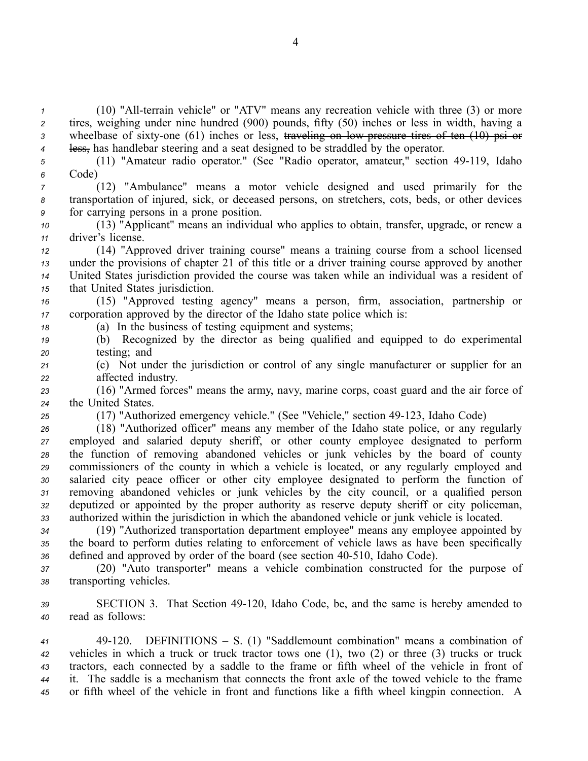(10) "All-terrain vehicle" or "ATV" means any recreation vehicle with three (3) or more tires, weighing under nine hundred (900) pounds, fifty (50) inches or less in width, having <sup>a</sup> 3 wheelbase of sixty-one (61) inches or less, traveling on low pressure tires of ten (10) psi or less, has handlebar steering and <sup>a</sup> seat designed to be straddled by the operator.

*<sup>5</sup>* (11) "Amateur radio operator." (See "Radio operator, amateur," section 49119, Idaho *<sup>6</sup>* Code)

*<sup>7</sup>* (12) "Ambulance" means <sup>a</sup> motor vehicle designed and used primarily for the *<sup>8</sup>* transportation of injured, sick, or deceased persons, on stretchers, cots, beds, or other devices *<sup>9</sup>* for carrying persons in <sup>a</sup> prone position.

*<sup>10</sup>* (13) "Applicant" means an individual who applies to obtain, transfer, upgrade, or renew <sup>a</sup> *<sup>11</sup>* driver's license.

 (14) "Approved driver training course" means <sup>a</sup> training course from <sup>a</sup> school licensed under the provisions of chapter 21 of this title or <sup>a</sup> driver training course approved by another United States jurisdiction provided the course was taken while an individual was <sup>a</sup> resident of that United States jurisdiction.

*<sup>16</sup>* (15) "Approved testing agency" means <sup>a</sup> person, firm, association, partnership or *<sup>17</sup>* corporation approved by the director of the Idaho state police which is:

*<sup>18</sup>* (a) In the business of testing equipment and systems;

*<sup>19</sup>* (b) Recognized by the director as being qualified and equipped to do experimental *<sup>20</sup>* testing; and

*<sup>21</sup>* (c) Not under the jurisdiction or control of any single manufacturer or supplier for an *<sup>22</sup>* affected industry.

*<sup>23</sup>* (16) "Armed forces" means the army, navy, marine corps, coast guard and the air force of *<sup>24</sup>* the United States.

<sup>25</sup> (17) "Authorized emergency vehicle." (See "Vehicle," section 49-123, Idaho Code)

 (18) "Authorized officer" means any member of the Idaho state police, or any regularly employed and salaried deputy sheriff, or other county employee designated to perform the function of removing abandoned vehicles or junk vehicles by the board of county commissioners of the county in which <sup>a</sup> vehicle is located, or any regularly employed and salaried city peace officer or other city employee designated to perform the function of removing abandoned vehicles or junk vehicles by the city council, or <sup>a</sup> qualified person deputized or appointed by the proper authority as reserve deputy sheriff or city policeman, authorized within the jurisdiction in which the abandoned vehicle or junk vehicle is located.

*<sup>34</sup>* (19) "Authorized transportation department employee" means any employee appointed by *<sup>35</sup>* the board to perform duties relating to enforcement of vehicle laws as have been specifically *<sup>36</sup>* defined and approved by order of the board (see section 40510, Idaho Code).

*<sup>37</sup>* (20) "Auto transporter" means <sup>a</sup> vehicle combination constructed for the purpose of *<sup>38</sup>* transporting vehicles.

*<sup>39</sup>* SECTION 3. That Section 49120, Idaho Code, be, and the same is hereby amended to *<sup>40</sup>* read as follows:

 49120. DEFINITIONS – S. (1) "Saddlemount combination" means <sup>a</sup> combination of vehicles in which <sup>a</sup> truck or truck tractor tows one (1), two (2) or three (3) trucks or truck tractors, each connected by <sup>a</sup> saddle to the frame or fifth wheel of the vehicle in front of it. The saddle is <sup>a</sup> mechanism that connects the front axle of the towed vehicle to the frame or fifth wheel of the vehicle in front and functions like <sup>a</sup> fifth wheel kingpin connection. A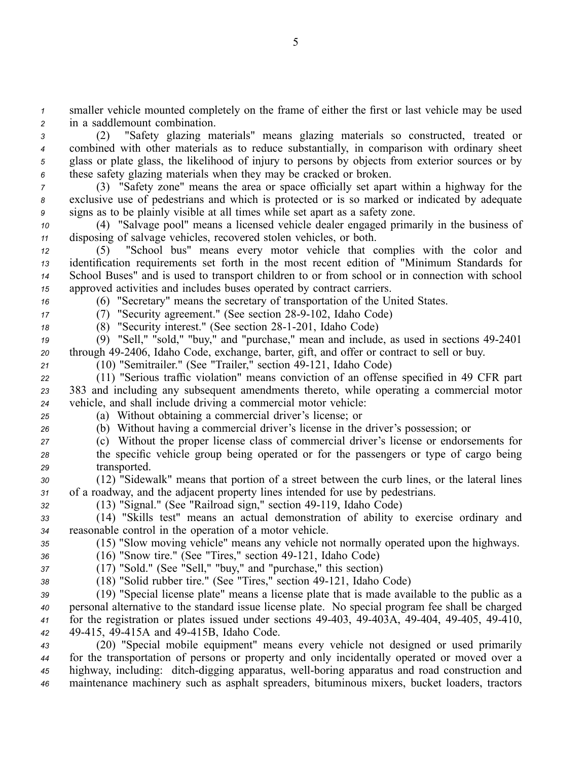*<sup>1</sup>* smaller vehicle mounted completely on the frame of either the first or last vehicle may be used *<sup>2</sup>* in <sup>a</sup> saddlemount combination.

 (2) "Safety glazing materials" means glazing materials so constructed, treated or combined with other materials as to reduce substantially, in comparison with ordinary sheet glass or plate glass, the likelihood of injury to persons by objects from exterior sources or by these safety glazing materials when they may be cracked or broken.

*<sup>7</sup>* (3) "Safety zone" means the area or space officially set apar<sup>t</sup> within <sup>a</sup> highway for the *<sup>8</sup>* exclusive use of pedestrians and which is protected or is so marked or indicated by adequate *<sup>9</sup>* signs as to be plainly visible at all times while set apar<sup>t</sup> as <sup>a</sup> safety zone.

*<sup>10</sup>* (4) "Salvage pool" means <sup>a</sup> licensed vehicle dealer engaged primarily in the business of *<sup>11</sup>* disposing of salvage vehicles, recovered stolen vehicles, or both.

 (5) "School bus" means every motor vehicle that complies with the color and identification requirements set forth in the most recent edition of "Minimum Standards for School Buses" and is used to transport children to or from school or in connection with school approved activities and includes buses operated by contract carriers.

*<sup>16</sup>* (6) "Secretary" means the secretary of transportation of the United States.

*17* (7) "Security agreement." (See section 28-9-102, Idaho Code)

18 (8) "Security interest." (See section 28-1-201, Idaho Code)

*<sup>19</sup>* (9) "Sell," "sold," "buy," and "purchase," mean and include, as used in sections 492401 20 through 49-2406, Idaho Code, exchange, barter, gift, and offer or contract to sell or buy.

21 (10) "Semitrailer." (See "Trailer," section 49-121, Idaho Code)

*<sup>22</sup>* (11) "Serious traffic violation" means conviction of an offense specified in 49 CFR par<sup>t</sup> *<sup>23</sup>* 383 and including any subsequent amendments thereto, while operating <sup>a</sup> commercial motor *<sup>24</sup>* vehicle, and shall include driving <sup>a</sup> commercial motor vehicle:

*<sup>25</sup>* (a) Without obtaining <sup>a</sup> commercial driver's license; or

*<sup>26</sup>* (b) Without having <sup>a</sup> commercial driver's license in the driver's possession; or

*<sup>27</sup>* (c) Without the proper license class of commercial driver's license or endorsements for *<sup>28</sup>* the specific vehicle group being operated or for the passengers or type of cargo being *<sup>29</sup>* transported.

*<sup>30</sup>* (12) "Sidewalk" means that portion of <sup>a</sup> street between the curb lines, or the lateral lines *<sup>31</sup>* of <sup>a</sup> roadway, and the adjacent property lines intended for use by pedestrians.

*<sup>32</sup>* (13) "Signal." (See "Railroad sign," section 49119, Idaho Code)

*<sup>33</sup>* (14) "Skills test" means an actual demonstration of ability to exercise ordinary and *<sup>34</sup>* reasonable control in the operation of <sup>a</sup> motor vehicle.

*<sup>35</sup>* (15) "Slow moving vehicle" means any vehicle not normally operated upon the highways.

*36* (16) "Snow tire." (See "Tires," section 49-121, Idaho Code)

*<sup>37</sup>* (17) "Sold." (See "Sell," "buy," and "purchase," this section)

*38* (18) "Solid rubber tire." (See "Tires," section 49-121, Idaho Code)

 (19) "Special license plate" means <sup>a</sup> license plate that is made available to the public as <sup>a</sup> personal alternative to the standard issue license plate. No special program fee shall be charged for the registration or plates issued under sections 49-403, 49-403A, 49-404, 49-405, 49-410, 49415, 49415A and 49415B, Idaho Code.

 (20) "Special mobile equipment" means every vehicle not designed or used primarily for the transportation of persons or property and only incidentally operated or moved over <sup>a</sup> highway, including: ditch-digging apparatus, well-boring apparatus and road construction and maintenance machinery such as asphalt spreaders, bituminous mixers, bucket loaders, tractors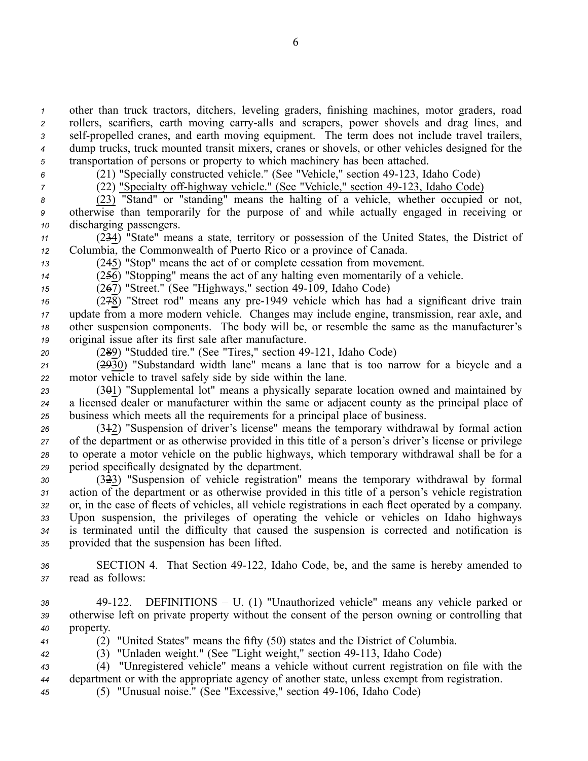other than truck tractors, ditchers, leveling graders, finishing machines, motor graders, road rollers, scarifiers, earth moving carry-alls and scrapers, power shovels and drag lines, and self-propelled cranes, and earth moving equipment. The term does not include travel trailers, dump trucks, truck mounted transit mixers, cranes or shovels, or other vehicles designed for the transportation of persons or property to which machinery has been attached.

*<sup>6</sup>* (21) "Specially constructed vehicle." (See "Vehicle," section 49123, Idaho Code)

<sup>7</sup> (22) "Specialty off-highway vehicle." (See "Vehicle," section 49-123, Idaho Code)

*<sup>8</sup>* (23) "Stand" or "standing" means the halting of <sup>a</sup> vehicle, whether occupied or not, *<sup>9</sup>* otherwise than temporarily for the purpose of and while actually engaged in receiving or *<sup>10</sup>* discharging passengers.

*<sup>11</sup>* (234) "State" means <sup>a</sup> state, territory or possession of the United States, the District of *<sup>12</sup>* Columbia, the Commonwealth of Puerto Rico or <sup>a</sup> province of Canada.

*<sup>13</sup>* (245) "Stop" means the act of or complete cessation from movement.

*<sup>14</sup>* (256) "Stopping" means the act of any halting even momentarily of <sup>a</sup> vehicle.

*<sup>15</sup>* (267) "Street." (See "Highways," section 49109, Idaho Code)

 (278) "Street rod" means any pre1949 vehicle which has had <sup>a</sup> significant drive train update from <sup>a</sup> more modern vehicle. Changes may include engine, transmission, rear axle, and other suspension components. The body will be, or resemble the same as the manufacturer's original issue after its first sale after manufacture.

20 (289) "Studded tire." (See "Tires," section 49-121, Idaho Code)

*<sup>21</sup>* (2930) "Substandard width lane" means <sup>a</sup> lane that is too narrow for <sup>a</sup> bicycle and <sup>a</sup> *<sup>22</sup>* motor vehicle to travel safely side by side within the lane.

*<sup>23</sup>* (301) "Supplemental lot" means <sup>a</sup> physically separate location owned and maintained by *<sup>24</sup>* <sup>a</sup> licensed dealer or manufacturer within the same or adjacent county as the principal place of *<sup>25</sup>* business which meets all the requirements for <sup>a</sup> principal place of business.

 (312) "Suspension of driver's license" means the temporary withdrawal by formal action of the department or as otherwise provided in this title of <sup>a</sup> person's driver's license or privilege to operate <sup>a</sup> motor vehicle on the public highways, which temporary withdrawal shall be for <sup>a</sup> period specifically designated by the department.

 (323) "Suspension of vehicle registration" means the temporary withdrawal by formal action of the department or as otherwise provided in this title of <sup>a</sup> person's vehicle registration or, in the case of fleets of vehicles, all vehicle registrations in each fleet operated by <sup>a</sup> company. Upon suspension, the privileges of operating the vehicle or vehicles on Idaho highways is terminated until the difficulty that caused the suspension is corrected and notification is provided that the suspension has been lifted.

*<sup>36</sup>* SECTION 4. That Section 49122, Idaho Code, be, and the same is hereby amended to *<sup>37</sup>* read as follows:

*<sup>38</sup>* 49122. DEFINITIONS – U. (1) "Unauthorized vehicle" means any vehicle parked or *<sup>39</sup>* otherwise left on private property without the consent of the person owning or controlling that *<sup>40</sup>* property.

*<sup>41</sup>* (2) "United States" means the fifty (50) states and the District of Columbia.

*<sup>42</sup>* (3) "Unladen weight." (See "Light weight," section 49113, Idaho Code)

*<sup>43</sup>* (4) "Unregistered vehicle" means <sup>a</sup> vehicle without current registration on file with the *<sup>44</sup>* department or with the appropriate agency of another state, unless exemp<sup>t</sup> from registration.

*<sup>45</sup>* (5) "Unusual noise." (See "Excessive," section 49106, Idaho Code)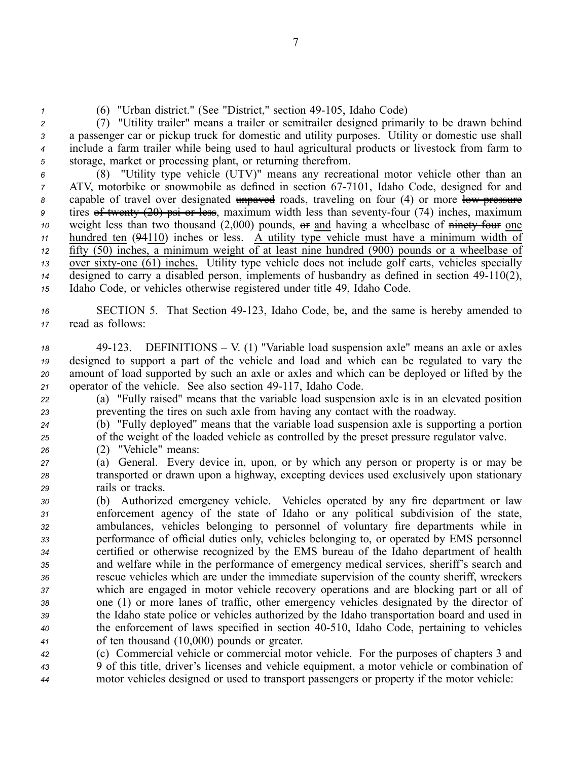*1* (6) "Urban district." (See "District," section 49-105, Idaho Code)

 (7) "Utility trailer" means <sup>a</sup> trailer or semitrailer designed primarily to be drawn behind <sup>a</sup> passenger car or pickup truck for domestic and utility purposes. Utility or domestic use shall include <sup>a</sup> farm trailer while being used to haul agricultural products or livestock from farm to storage, market or processing plant, or returning therefrom.

 (8) "Utility type vehicle (UTV)" means any recreational motor vehicle other than an ATV, motorbike or snowmobile as defined in section 67-7101, Idaho Code, designed for and 8 capable of travel over designated unpayed roads, traveling on four (4) or more low-pressure tires of twenty (20) psi or less, maximum width less than seventy-four (74) inches, maximum weight less than two thousand (2,000) pounds, or and having a wheelbase of ninety four one hundred ten (94110) inches or less. A utility type vehicle must have <sup>a</sup> minimum width of fifty (50) inches, <sup>a</sup> minimum weight of at least nine hundred (900) pounds or <sup>a</sup> wheelbase of 13 over sixty-one (61) inches. Utility type vehicle does not include golf carts, vehicles specially  $\frac{1}{4}$  designed to carry a disabled person, implements of husbandry as defined in section 49-110(2), Idaho Code, or vehicles otherwise registered under title 49, Idaho Code.

*<sup>16</sup>* SECTION 5. That Section 49123, Idaho Code, be, and the same is hereby amended to *<sup>17</sup>* read as follows:

 49123. DEFINITIONS – V. (1) "Variable load suspension axle" means an axle or axles designed to suppor<sup>t</sup> <sup>a</sup> par<sup>t</sup> of the vehicle and load and which can be regulated to vary the amount of load supported by such an axle or axles and which can be deployed or lifted by the 21 operator of the vehicle. See also section 49-117, Idaho Code.

*<sup>22</sup>* (a) "Fully raised" means that the variable load suspension axle is in an elevated position *<sup>23</sup>* preventing the tires on such axle from having any contact with the roadway.

*<sup>24</sup>* (b) "Fully deployed" means that the variable load suspension axle is supporting <sup>a</sup> portion *<sup>25</sup>* of the weight of the loaded vehicle as controlled by the prese<sup>t</sup> pressure regulator valve.

*<sup>26</sup>* (2) "Vehicle" means:

*<sup>27</sup>* (a) General. Every device in, upon, or by which any person or property is or may be *<sup>28</sup>* transported or drawn upon <sup>a</sup> highway, excepting devices used exclusively upon stationary *<sup>29</sup>* rails or tracks.

 (b) Authorized emergency vehicle. Vehicles operated by any fire department or law enforcement agency of the state of Idaho or any political subdivision of the state, ambulances, vehicles belonging to personnel of voluntary fire departments while in performance of official duties only, vehicles belonging to, or operated by EMS personnel certified or otherwise recognized by the EMS bureau of the Idaho department of health and welfare while in the performance of emergency medical services, sheriff's search and rescue vehicles which are under the immediate supervision of the county sheriff, wreckers which are engaged in motor vehicle recovery operations and are blocking par<sup>t</sup> or all of one (1) or more lanes of traffic, other emergency vehicles designated by the director of the Idaho state police or vehicles authorized by the Idaho transportation board and used in the enforcement of laws specified in section 40510, Idaho Code, pertaining to vehicles of ten thousand (10,000) pounds or greater.

*<sup>42</sup>* (c) Commercial vehicle or commercial motor vehicle. For the purposes of chapters 3 and *<sup>43</sup>* 9 of this title, driver's licenses and vehicle equipment, <sup>a</sup> motor vehicle or combination of *<sup>44</sup>* motor vehicles designed or used to transport passengers or property if the motor vehicle: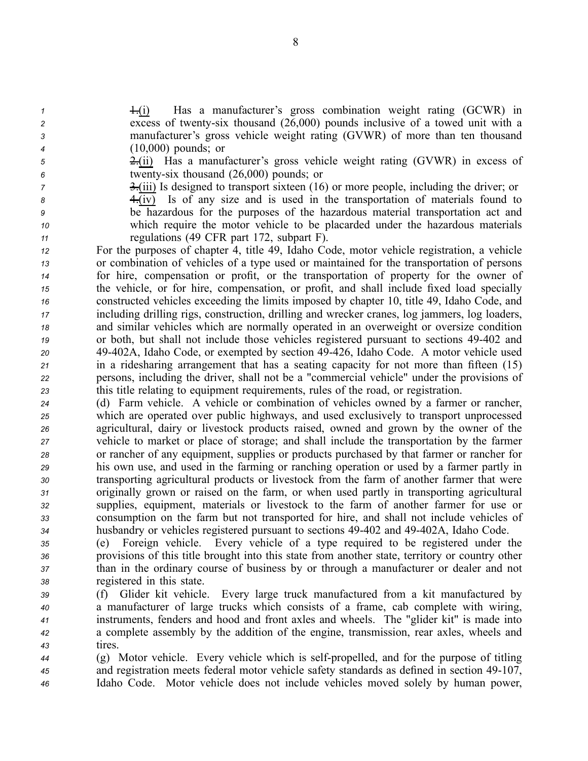1.(i) Has a manufacturer's gross combination weight rating (GCWR) in excess of twentysix thousand (26,000) pounds inclusive of <sup>a</sup> towed unit with <sup>a</sup> manufacturer's gross vehicle weight rating (GVWR) of more than ten thousand (10,000) pounds; or

*<sup>5</sup>* 2.(ii) Has <sup>a</sup> manufacturer's gross vehicle weight rating (GVWR) in excess of *<sup>6</sup>* twentysix thousand (26,000) pounds; or

 $\frac{3}{2}$   $\frac{3}{2}$  iii) Is designed to transport sixteen (16) or more people, including the driver; or

*<sup>8</sup>* 4.(iv) Is of any size and is used in the transportation of materials found to *<sup>9</sup>* be hazardous for the purposes of the hazardous material transportation act and

*<sup>10</sup>* which require the motor vehicle to be placarded under the hazardous materials

 regulations (49 CFR par<sup>t</sup> 172, subpart F). For the purposes of chapter 4, title 49, Idaho Code, motor vehicle registration, <sup>a</sup> vehicle or combination of vehicles of <sup>a</sup> type used or maintained for the transportation of persons for hire, compensation or profit, or the transportation of property for the owner of the vehicle, or for hire, compensation, or profit, and shall include fixed load specially constructed vehicles exceeding the limits imposed by chapter 10, title 49, Idaho Code, and including drilling rigs, construction, drilling and wrecker cranes, log jammers, log loaders, and similar vehicles which are normally operated in an overweight or oversize condition or both, but shall not include those vehicles registered pursuan<sup>t</sup> to sections 49402 and 49402A, Idaho Code, or exempted by section 49426, Idaho Code. A motor vehicle used in <sup>a</sup> ridesharing arrangemen<sup>t</sup> that has <sup>a</sup> seating capacity for not more than fifteen (15) persons, including the driver, shall not be <sup>a</sup> "commercial vehicle" under the provisions of this title relating to equipment requirements, rules of the road, or registration.

 (d) Farm vehicle. A vehicle or combination of vehicles owned by <sup>a</sup> farmer or rancher, which are operated over public highways, and used exclusively to transport unprocessed agricultural, dairy or livestock products raised, owned and grown by the owner of the vehicle to market or place of storage; and shall include the transportation by the farmer or rancher of any equipment, supplies or products purchased by that farmer or rancher for his own use, and used in the farming or ranching operation or used by <sup>a</sup> farmer partly in transporting agricultural products or livestock from the farm of another farmer that were originally grown or raised on the farm, or when used partly in transporting agricultural supplies, equipment, materials or livestock to the farm of another farmer for use or consumption on the farm but not transported for hire, and shall not include vehicles of husbandry or vehicles registered pursuan<sup>t</sup> to sections 49402 and 49402A, Idaho Code.

 (e) Foreign vehicle. Every vehicle of <sup>a</sup> type required to be registered under the provisions of this title brought into this state from another state, territory or country other than in the ordinary course of business by or through <sup>a</sup> manufacturer or dealer and not registered in this state.

 (f) Glider kit vehicle. Every large truck manufactured from <sup>a</sup> kit manufactured by <sup>a</sup> manufacturer of large trucks which consists of <sup>a</sup> frame, cab complete with wiring, instruments, fenders and hood and front axles and wheels. The "glider kit" is made into <sup>a</sup> complete assembly by the addition of the engine, transmission, rear axles, wheels and *<sup>43</sup>* tires.

*44* (g) Motor vehicle. Every vehicle which is self-propelled, and for the purpose of titling <sup>45</sup> and registration meets federal motor vehicle safety standards as defined in section 49-107, *<sup>46</sup>* Idaho Code. Motor vehicle does not include vehicles moved solely by human power,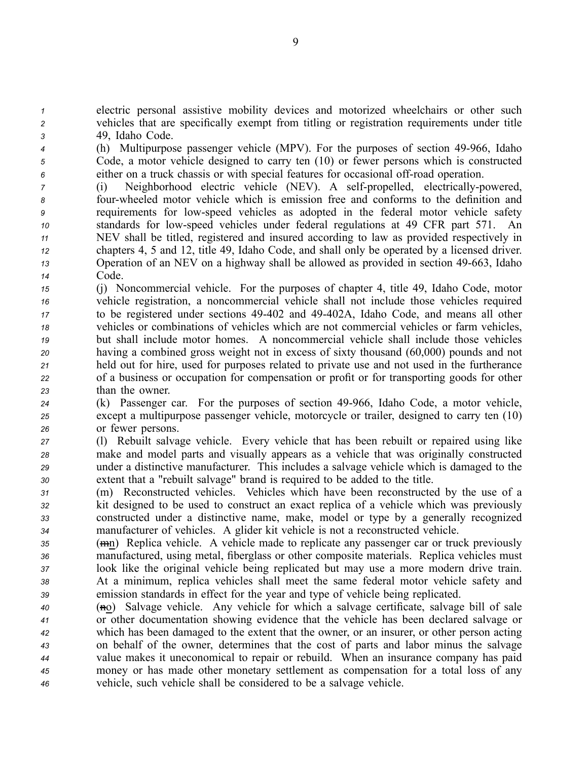*<sup>1</sup>* electric personal assistive mobility devices and motorized wheelchairs or other such *<sup>2</sup>* vehicles that are specifically exemp<sup>t</sup> from titling or registration requirements under title *<sup>3</sup>* 49, Idaho Code.

*4* (h) Multipurpose passenger vehicle (MPV). For the purposes of section 49-966, Idaho *<sup>5</sup>* Code, <sup>a</sup> motor vehicle designed to carry ten (10) or fewer persons which is constructed  $6$  either on a truck chassis or with special features for occasional off-road operation.

 (i) Neighborhood electric vehicle (NEV). A self-propelled, electrically-powered, fourwheeled motor vehicle which is emission free and conforms to the definition and requirements for lowspeed vehicles as adopted in the federal motor vehicle safety standards for lowspeed vehicles under federal regulations at 49 CFR par<sup>t</sup> 571. An NEV shall be titled, registered and insured according to law as provided respectively in chapters 4, 5 and 12, title 49, Idaho Code, and shall only be operated by <sup>a</sup> licensed driver. **13** Operation of an NEV on a highway shall be allowed as provided in section 49-663, Idaho *<sup>14</sup>* Code.

 (j) Noncommercial vehicle. For the purposes of chapter 4, title 49, Idaho Code, motor vehicle registration, <sup>a</sup> noncommercial vehicle shall not include those vehicles required to be registered under sections 49402 and 49402A, Idaho Code, and means all other vehicles or combinations of vehicles which are not commercial vehicles or farm vehicles, but shall include motor homes. A noncommercial vehicle shall include those vehicles having <sup>a</sup> combined gross weight not in excess of sixty thousand (60,000) pounds and not held out for hire, used for purposes related to private use and not used in the furtherance of <sup>a</sup> business or occupation for compensation or profit or for transporting goods for other than the owner.

*<sup>24</sup>* (k) Passenger car. For the purposes of section 49966, Idaho Code, <sup>a</sup> motor vehicle, *<sup>25</sup>* excep<sup>t</sup> <sup>a</sup> multipurpose passenger vehicle, motorcycle or trailer, designed to carry ten (10) *<sup>26</sup>* or fewer persons.

 (l) Rebuilt salvage vehicle. Every vehicle that has been rebuilt or repaired using like make and model parts and visually appears as <sup>a</sup> vehicle that was originally constructed under <sup>a</sup> distinctive manufacturer. This includes <sup>a</sup> salvage vehicle which is damaged to the extent that <sup>a</sup> "rebuilt salvage" brand is required to be added to the title.

 (m) Reconstructed vehicles. Vehicles which have been reconstructed by the use of <sup>a</sup> kit designed to be used to construct an exact replica of <sup>a</sup> vehicle which was previously constructed under <sup>a</sup> distinctive name, make, model or type by <sup>a</sup> generally recognized manufacturer of vehicles. A glider kit vehicle is not <sup>a</sup> reconstructed vehicle.

 (mn) Replica vehicle. A vehicle made to replicate any passenger car or truck previously manufactured, using metal, fiberglass or other composite materials. Replica vehicles must look like the original vehicle being replicated but may use <sup>a</sup> more modern drive train. At <sup>a</sup> minimum, replica vehicles shall meet the same federal motor vehicle safety and emission standards in effect for the year and type of vehicle being replicated.

 (no) Salvage vehicle. Any vehicle for which <sup>a</sup> salvage certificate, salvage bill of sale or other documentation showing evidence that the vehicle has been declared salvage or which has been damaged to the extent that the owner, or an insurer, or other person acting on behalf of the owner, determines that the cost of parts and labor minus the salvage value makes it uneconomical to repair or rebuild. When an insurance company has paid money or has made other monetary settlement as compensation for <sup>a</sup> total loss of any vehicle, such vehicle shall be considered to be <sup>a</sup> salvage vehicle.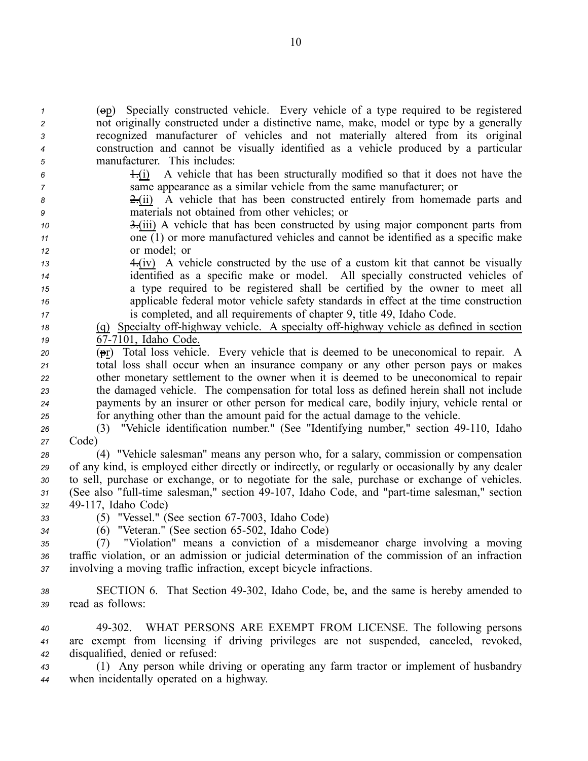(op) Specially constructed vehicle. Every vehicle of <sup>a</sup> type required to be registered not originally constructed under <sup>a</sup> distinctive name, make, model or type by <sup>a</sup> generally recognized manufacturer of vehicles and not materially altered from its original construction and cannot be visually identified as <sup>a</sup> vehicle produced by <sup>a</sup> particular manufacturer. This includes: 1.(i) A vehicle that has been structurally modified so that it does not have the same appearance as <sup>a</sup> similar vehicle from the same manufacturer; or 2.(ii) A vehicle that has been constructed entirely from homemade parts and materials not obtained from other vehicles; or 3.(iii) A vehicle that has been constructed by using major componen<sup>t</sup> parts from one  $(1)$  or more manufactured vehicles and cannot be identified as a specific make or model; or 4.(iv) A vehicle constructed by the use of <sup>a</sup> custom kit that cannot be visually identified as <sup>a</sup> specific make or model. All specially constructed vehicles of <sup>a</sup> type required to be registered shall be certified by the owner to meet all applicable federal motor vehicle safety standards in effect at the time construction is completed, and all requirements of chapter 9, title 49, Idaho Code. 18 (q) Specialty off-highway vehicle. A specialty off-highway vehicle as defined in section  $\sqrt{67-7101}$ , Idaho Code. (pr) Total loss vehicle. Every vehicle that is deemed to be uneconomical to repair. A total loss shall occur when an insurance company or any other person pays or makes other monetary settlement to the owner when it is deemed to be uneconomical to repair the damaged vehicle. The compensation for total loss as defined herein shall not include payments by an insurer or other person for medical care, bodily injury, vehicle rental or for anything other than the amount paid for the actual damage to the vehicle. (3) "Vehicle identification number." (See "Identifying number," section 49110, Idaho *<sup>27</sup>* Code) (4) "Vehicle salesman" means any person who, for <sup>a</sup> salary, commission or compensation of any kind, is employed either directly or indirectly, or regularly or occasionally by any dealer to sell, purchase or exchange, or to negotiate for the sale, purchase or exchange of vehicles. 31 (See also "full-time salesman," section 49-107, Idaho Code, and "part-time salesman," section 49117, Idaho Code) 33 (5) "Vessel." (See section 67-7003, Idaho Code) <sup>34</sup> (6) "Veteran." (See section 65-502, Idaho Code)<br><sup>35</sup> (7) "Violation" means a conviction of a mis (7) "Violation" means <sup>a</sup> conviction of <sup>a</sup> misdemeanor charge involving <sup>a</sup> moving traffic violation, or an admission or judicial determination of the commission of an infraction involving <sup>a</sup> moving traffic infraction, excep<sup>t</sup> bicycle infractions. SECTION 6. That Section 49302, Idaho Code, be, and the same is hereby amended to read as follows: 49302. WHAT PERSONS ARE EXEMPT FROM LICENSE. The following persons are exemp<sup>t</sup> from licensing if driving privileges are not suspended, canceled, revoked, disqualified, denied or refused: (1) Any person while driving or operating any farm tractor or implement of husbandry when incidentally operated on <sup>a</sup> highway.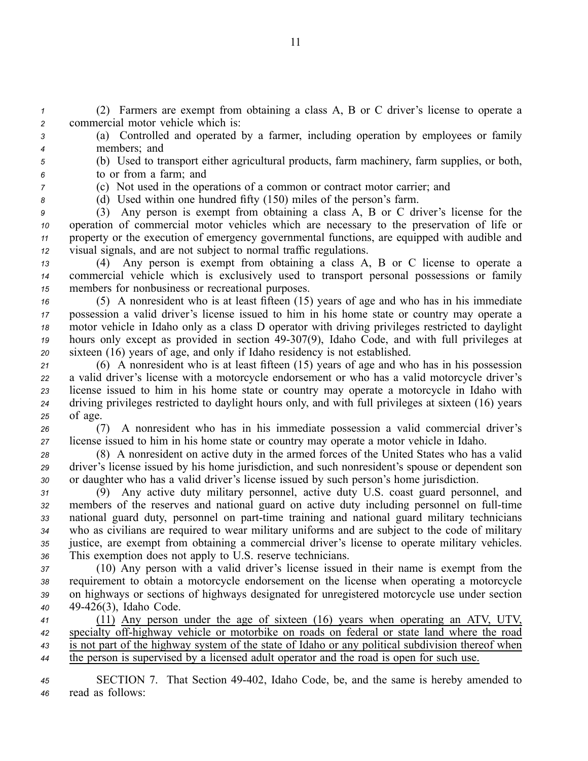*<sup>1</sup>* (2) Farmers are exemp<sup>t</sup> from obtaining <sup>a</sup> class A, B or C driver's license to operate <sup>a</sup> *<sup>2</sup>* commercial motor vehicle which is:

*<sup>3</sup>* (a) Controlled and operated by <sup>a</sup> farmer, including operation by employees or family *<sup>4</sup>* members; and

*<sup>5</sup>* (b) Used to transport either agricultural products, farm machinery, farm supplies, or both, *<sup>6</sup>* to or from <sup>a</sup> farm; and

*<sup>7</sup>* (c) Not used in the operations of <sup>a</sup> common or contract motor carrier; and

*<sup>8</sup>* (d) Used within one hundred fifty (150) miles of the person's farm.

 (3) Any person is exemp<sup>t</sup> from obtaining <sup>a</sup> class A, B or C driver's license for the operation of commercial motor vehicles which are necessary to the preservation of life or property or the execution of emergency governmental functions, are equipped with audible and visual signals, and are not subject to normal traffic regulations.

*<sup>13</sup>* (4) Any person is exemp<sup>t</sup> from obtaining <sup>a</sup> class A, B or C license to operate <sup>a</sup> *<sup>14</sup>* commercial vehicle which is exclusively used to transport personal possessions or family *<sup>15</sup>* members for nonbusiness or recreational purposes.

 (5) A nonresident who is at least fifteen (15) years of age and who has in his immediate possession <sup>a</sup> valid driver's license issued to him in his home state or country may operate <sup>a</sup> motor vehicle in Idaho only as <sup>a</sup> class D operator with driving privileges restricted to daylight 19 hours only except as provided in section 49-307(9), Idaho Code, and with full privileges at sixteen (16) years of age, and only if Idaho residency is not established.

 (6) A nonresident who is at least fifteen (15) years of age and who has in his possession <sup>a</sup> valid driver's license with <sup>a</sup> motorcycle endorsement or who has <sup>a</sup> valid motorcycle driver's license issued to him in his home state or country may operate <sup>a</sup> motorcycle in Idaho with driving privileges restricted to daylight hours only, and with full privileges at sixteen (16) years *<sup>25</sup>* of age.

*<sup>26</sup>* (7) A nonresident who has in his immediate possession <sup>a</sup> valid commercial driver's *<sup>27</sup>* license issued to him in his home state or country may operate <sup>a</sup> motor vehicle in Idaho.

*<sup>28</sup>* (8) A nonresident on active duty in the armed forces of the United States who has <sup>a</sup> valid *<sup>29</sup>* driver's license issued by his home jurisdiction, and such nonresident's spouse or dependent son *<sup>30</sup>* or daughter who has <sup>a</sup> valid driver's license issued by such person's home jurisdiction.

 (9) Any active duty military personnel, active duty U.S. coast guard personnel, and members of the reserves and national guard on active duty including personnel on full-time 33 national guard duty, personnel on part-time training and national guard military technicians who as civilians are required to wear military uniforms and are subject to the code of military justice, are exemp<sup>t</sup> from obtaining <sup>a</sup> commercial driver's license to operate military vehicles. This exemption does not apply to U.S. reserve technicians.

 (10) Any person with <sup>a</sup> valid driver's license issued in their name is exemp<sup>t</sup> from the requirement to obtain <sup>a</sup> motorcycle endorsement on the license when operating <sup>a</sup> motorcycle on highways or sections of highways designated for unregistered motorcycle use under section 49426(3), Idaho Code.

 (11) Any person under the age of sixteen (16) years when operating an ATV, UTV, 42 specialty off-highway vehicle or motorbike on roads on federal or state land where the road is not par<sup>t</sup> of the highway system of the state of Idaho or any political subdivision thereof when the person is supervised by <sup>a</sup> licensed adult operator and the road is open for such use.

*<sup>45</sup>* SECTION 7. That Section 49402, Idaho Code, be, and the same is hereby amended to *<sup>46</sup>* read as follows: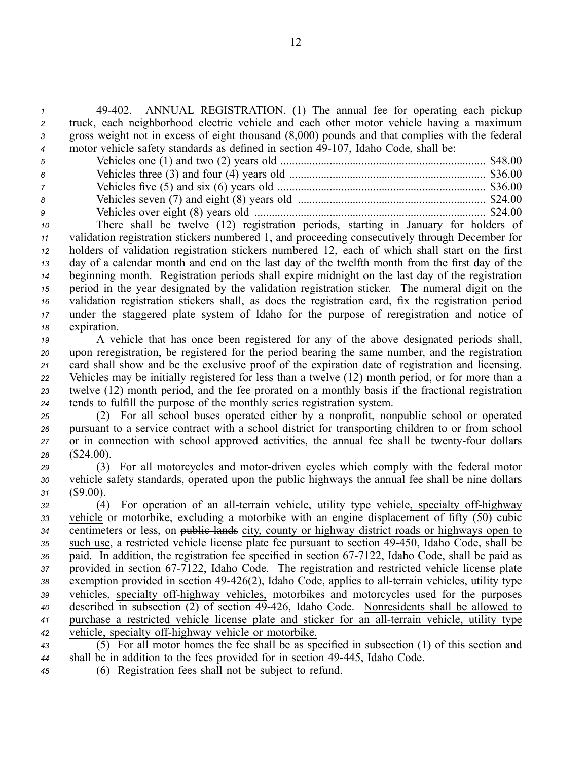49402. ANNUAL REGISTRATION. (1) The annual fee for operating each pickup truck, each neighborhood electric vehicle and each other motor vehicle having <sup>a</sup> maximum gross weight not in excess of eight thousand (8,000) pounds and that complies with the federal <sup>4</sup> motor vehicle safety standards as defined in section 49-107, Idaho Code, shall be:

| -5  |  |
|-----|--|
| - 6 |  |
|     |  |
| -8  |  |
| -9  |  |

 There shall be twelve (12) registration periods, starting in January for holders of validation registration stickers numbered 1, and proceeding consecutively through December for holders of validation registration stickers numbered 12, each of which shall start on the first day of <sup>a</sup> calendar month and end on the last day of the twelfth month from the first day of the beginning month. Registration periods shall expire midnight on the last day of the registration period in the year designated by the validation registration sticker. The numeral digit on the validation registration stickers shall, as does the registration card, fix the registration period under the staggered plate system of Idaho for the purpose of reregistration and notice of expiration.

 A vehicle that has once been registered for any of the above designated periods shall, upon reregistration, be registered for the period bearing the same number, and the registration card shall show and be the exclusive proof of the expiration date of registration and licensing. Vehicles may be initially registered for less than <sup>a</sup> twelve (12) month period, or for more than <sup>a</sup> twelve (12) month period, and the fee prorated on <sup>a</sup> monthly basis if the fractional registration tends to fulfill the purpose of the monthly series registration system.

- *<sup>25</sup>* (2) For all school buses operated either by <sup>a</sup> nonprofit, nonpublic school or operated *<sup>26</sup>* pursuan<sup>t</sup> to <sup>a</sup> service contract with <sup>a</sup> school district for transporting children to or from school 27 or in connection with school approved activities, the annual fee shall be twenty-four dollars *<sup>28</sup>* (\$24.00).
- *<sup>29</sup>* (3) For all motorcycles and motordriven cycles which comply with the federal motor *<sup>30</sup>* vehicle safety standards, operated upon the public highways the annual fee shall be nine dollars *<sup>31</sup>* (\$9.00).

*32* (4) For operation of an all-terrain vehicle, utility type vehicle, specialty of f-highway *<sup>33</sup>* vehicle or motorbike, excluding <sup>a</sup> motorbike with an engine displacement of fifty (50) cubic <sup>34</sup> centimeters or less, on public lands city, county or highway district roads or highways open to 35 such use, a restricted vehicle license plate fee pursuant to section 49-450, Idaho Code, shall be <sup>36</sup> paid. In addition, the registration fee specified in section 67-7122, Idaho Code, shall be paid as 37 provided in section 67-7122, Idaho Code. The registration and restricted vehicle license plate 38 exemption provided in section 49-426(2), Idaho Code, applies to all-terrain vehicles, utility type 39 vehicles, specialty off-highway vehicles, motorbikes and motorcycles used for the purposes *<sup>40</sup>* described in subsection (2) of section 49426, Idaho Code. Nonresidents shall be allowed to *<sup>41</sup>* purchase <sup>a</sup> restricted vehicle license plate and sticker for an allterrain vehicle, utility type *42* vehicle, specialty off-highway vehicle or motorbike.

- *<sup>43</sup>* (5) For all motor homes the fee shall be as specified in subsection (1) of this section and *<sup>44</sup>* shall be in addition to the fees provided for in section 49445, Idaho Code.
- *<sup>45</sup>* (6) Registration fees shall not be subject to refund.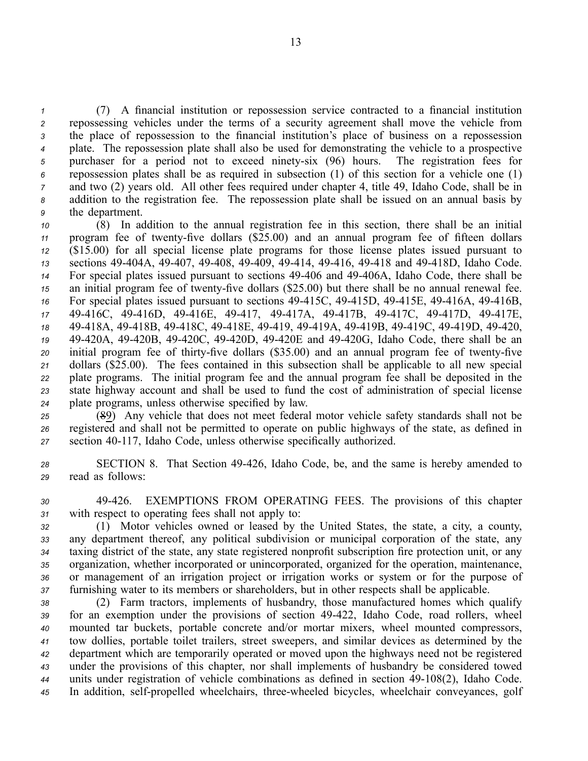(7) A financial institution or repossession service contracted to <sup>a</sup> financial institution repossessing vehicles under the terms of <sup>a</sup> security agreemen<sup>t</sup> shall move the vehicle from the place of repossession to the financial institution's place of business on <sup>a</sup> repossession plate. The repossession plate shall also be used for demonstrating the vehicle to <sup>a</sup> prospective purchaser for <sup>a</sup> period not to exceed ninetysix (96) hours. The registration fees for repossession plates shall be as required in subsection (1) of this section for <sup>a</sup> vehicle one (1) and two (2) years old. All other fees required under chapter 4, title 49, Idaho Code, shall be in addition to the registration fee. The repossession plate shall be issued on an annual basis by the department.

 (8) In addition to the annual registration fee in this section, there shall be an initial 11 program fee of twenty-five dollars (\$25.00) and an annual program fee of fifteen dollars (\$15.00) for all special license plate programs for those license plates issued pursuan<sup>t</sup> to sections 49404A, 49407, 49408, 49409, 49414, 49416, 49418 and 49418D, Idaho Code. For special plates issued pursuan<sup>t</sup> to sections 49406 and 49406A, Idaho Code, there shall be an initial program fee of twenty-five dollars (\$25.00) but there shall be no annual renewal fee. <sup>16</sup> For special plates issued pursuant to sections 49-415C, 49-415D, 49-415E, 49-416A, 49-416B, 49416C, 49416D, 49416E, 49417, 49417A, 49417B, 49417C, 49417D, 49417E, 49418A, 49418B, 49418C, 49418E, 49419, 49419A, 49419B, 49419C, 49419D, 49420, 49420A, 49420B, 49420C, 49420D, 49420E and 49420G, Idaho Code, there shall be an 20 initial program fee of thirty-five dollars (\$35.00) and an annual program fee of twenty-five dollars (\$25.00). The fees contained in this subsection shall be applicable to all new special plate programs. The initial program fee and the annual program fee shall be deposited in the state highway account and shall be used to fund the cost of administration of special license plate programs, unless otherwise specified by law.

*<sup>25</sup>* (89) Any vehicle that does not meet federal motor vehicle safety standards shall not be *<sup>26</sup>* registered and shall not be permitted to operate on public highways of the state, as defined in *<sup>27</sup>* section 40117, Idaho Code, unless otherwise specifically authorized.

*<sup>28</sup>* SECTION 8. That Section 49426, Idaho Code, be, and the same is hereby amended to *<sup>29</sup>* read as follows:

*<sup>30</sup>* 49426. EXEMPTIONS FROM OPERATING FEES. The provisions of this chapter *<sup>31</sup>* with respec<sup>t</sup> to operating fees shall not apply to:

 (1) Motor vehicles owned or leased by the United States, the state, <sup>a</sup> city, <sup>a</sup> county, any department thereof, any political subdivision or municipal corporation of the state, any taxing district of the state, any state registered nonprofit subscription fire protection unit, or any organization, whether incorporated or unincorporated, organized for the operation, maintenance, or managemen<sup>t</sup> of an irrigation project or irrigation works or system or for the purpose of furnishing water to its members or shareholders, but in other respects shall be applicable.

 (2) Farm tractors, implements of husbandry, those manufactured homes which qualify 39 for an exemption under the provisions of section 49-422, Idaho Code, road rollers, wheel mounted tar buckets, portable concrete and/or mortar mixers, wheel mounted compressors, tow dollies, portable toilet trailers, street sweepers, and similar devices as determined by the department which are temporarily operated or moved upon the highways need not be registered under the provisions of this chapter, nor shall implements of husbandry be considered towed units under registration of vehicle combinations as defined in section 49108(2), Idaho Code. 45 In addition, self-propelled wheelchairs, three-wheeled bicycles, wheelchair conveyances, golf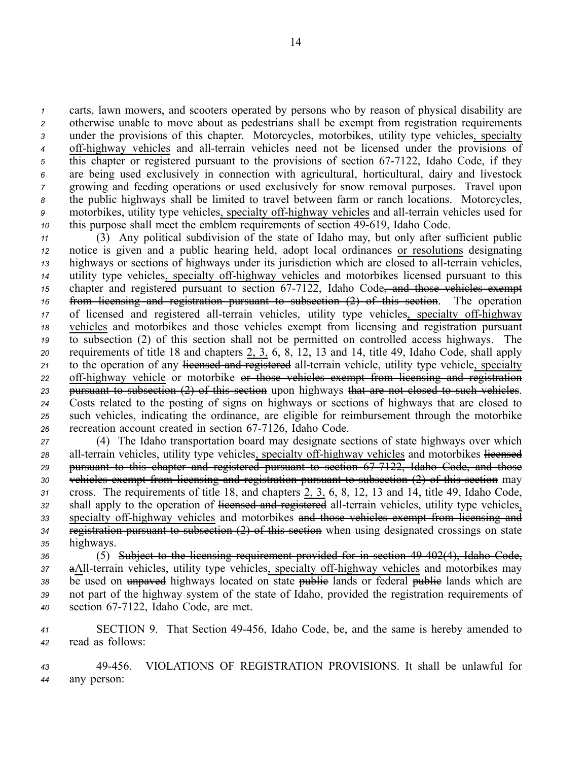carts, lawn mowers, and scooters operated by persons who by reason of physical disability are otherwise unable to move about as pedestrians shall be exemp<sup>t</sup> from registration requirements under the provisions of this chapter. Motorcycles, motorbikes, utility type vehicles, specialty 4 off-highway vehicles and all-terrain vehicles need not be licensed under the provisions of 5 this chapter or registered pursuant to the provisions of section 67-7122, Idaho Code, if they are being used exclusively in connection with agricultural, horticultural, dairy and livestock growing and feeding operations or used exclusively for snow removal purposes. Travel upon the public highways shall be limited to travel between farm or ranch locations. Motorcycles, motorbikes, utility type vehicles, specialty off-highway vehicles and all-terrain vehicles used for this purpose shall meet the emblem requirements of section 49-619, Idaho Code.

 (3) Any political subdivision of the state of Idaho may, but only after sufficient public notice is given and <sup>a</sup> public hearing held, adopt local ordinances or resolutions designating highways or sections of highways under its jurisdiction which are closed to all-terrain vehicles, utility type vehicles, specialty offhighway vehicles and motorbikes licensed pursuan<sup>t</sup> to this chapter and registered pursuant to section  $67-7122$ , Idaho Code, and those vehicles exempt from licensing and registration pursuan<sup>t</sup> to subsection (2) of this section. The operation 17 of licensed and registered all-terrain vehicles, utility type vehicles, specialty off-highway vehicles and motorbikes and those vehicles exemp<sup>t</sup> from licensing and registration pursuan<sup>t</sup> to subsection (2) of this section shall not be permitted on controlled access highways. The requirements of title 18 and chapters 2, 3, 6, 8, 12, 13 and 14, title 49, Idaho Code, shall apply 21 to the operation of any licensed and registered all-terrain vehicle, utility type vehicle, specialty 22 off-highway vehicle or motorbike <del>or those vehicles exempt from licensing and registration</del> pursuan<sup>t</sup> to subsection (2) of this section upon highways that are not closed to such vehicles. Costs related to the posting of signs on highways or sections of highways that are closed to such vehicles, indicating the ordinance, are eligible for reimbursement through the motorbike recreation account created in section 67-7126, Idaho Code.

 (4) The Idaho transportation board may designate sections of state highways over which 28 all-terrain vehicles, utility type vehicles, specialty off-highway vehicles and motorbikes licensed pursuan<sup>t</sup> to this chapter and registered pursuan<sup>t</sup> to section 677122, Idaho Code, and those vehicles exemp<sup>t</sup> from licensing and registration pursuan<sup>t</sup> to subsection (2) of this section may cross. The requirements of title 18, and chapters 2, 3, 6, 8, 12, 13 and 14, title 49, Idaho Code, 32 shall apply to the operation of licensed and registered all-terrain vehicles, utility type vehicles, 33 specialty off-highway vehicles and motorbikes and those vehicles exempt from licensing and registration pursuan<sup>t</sup> to subsection (2) of this section when using designated crossings on state highways.

*<sup>36</sup>* (5) Subject to the licensing requirement provided for in section 49402(4), Idaho Code, 37 aAll-terrain vehicles, utility type vehicles, specialty off-highway vehicles and motorbikes may 38 be used on unpaved highways located on state public lands or federal public lands which are *<sup>39</sup>* not par<sup>t</sup> of the highway system of the state of Idaho, provided the registration requirements of 40 section 67-7122, Idaho Code, are met.

*<sup>41</sup>* SECTION 9. That Section 49456, Idaho Code, be, and the same is hereby amended to *<sup>42</sup>* read as follows:

*<sup>43</sup>* 49456. VIOLATIONS OF REGISTRATION PROVISIONS. It shall be unlawful for *<sup>44</sup>* any person: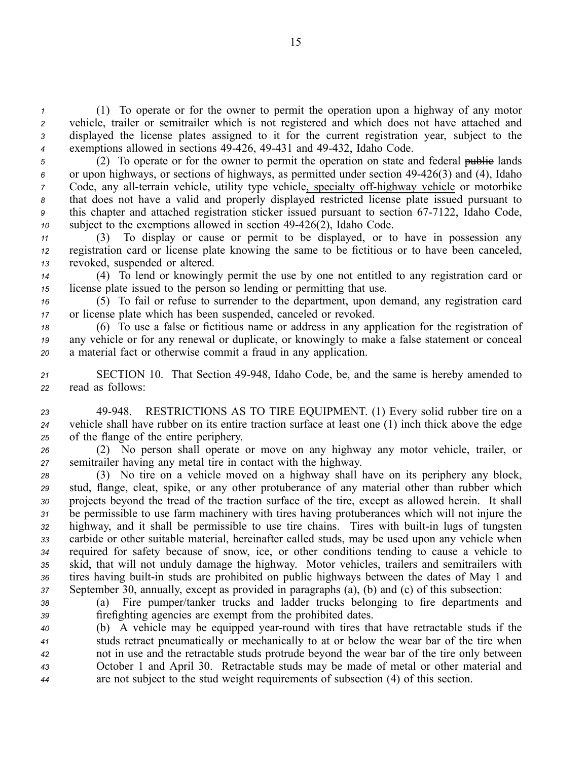(1) To operate or for the owner to permit the operation upon <sup>a</sup> highway of any motor vehicle, trailer or semitrailer which is not registered and which does not have attached and displayed the license plates assigned to it for the current registration year, subject to the exemptions allowed in sections 49426, 49431 and 49432, Idaho Code.

5 (2) To operate or for the owner to permit the operation on state and federal public lands or upon highways, or sections of highways, as permitted under section 49426(3) and (4), Idaho Code, any all-terrain vehicle, utility type vehicle, specialty off-highway vehicle or motorbike that does not have <sup>a</sup> valid and properly displayed restricted license plate issued pursuan<sup>t</sup> to <sup>9</sup> this chapter and attached registration sticker issued pursuant to section 67-7122, Idaho Code, subject to the exemptions allowed in section 49-426(2), Idaho Code.

*<sup>11</sup>* (3) To display or cause or permit to be displayed, or to have in possession any *<sup>12</sup>* registration card or license plate knowing the same to be fictitious or to have been canceled, *<sup>13</sup>* revoked, suspended or altered.

*<sup>14</sup>* (4) To lend or knowingly permit the use by one not entitled to any registration card or *<sup>15</sup>* license plate issued to the person so lending or permitting that use.

*<sup>16</sup>* (5) To fail or refuse to surrender to the department, upon demand, any registration card *<sup>17</sup>* or license plate which has been suspended, canceled or revoked.

*<sup>18</sup>* (6) To use <sup>a</sup> false or fictitious name or address in any application for the registration of *<sup>19</sup>* any vehicle or for any renewal or duplicate, or knowingly to make <sup>a</sup> false statement or conceal *<sup>20</sup>* <sup>a</sup> material fact or otherwise commit <sup>a</sup> fraud in any application.

21 SECTION 10. That Section 49-948, Idaho Code, be, and the same is hereby amended to *<sup>22</sup>* read as follows:

*<sup>23</sup>* 49948. RESTRICTIONS AS TO TIRE EQUIPMENT. (1) Every solid rubber tire on <sup>a</sup> *<sup>24</sup>* vehicle shall have rubber on its entire traction surface at least one (1) inch thick above the edge *<sup>25</sup>* of the flange of the entire periphery.

*<sup>26</sup>* (2) No person shall operate or move on any highway any motor vehicle, trailer, or *<sup>27</sup>* semitrailer having any metal tire in contact with the highway.

 (3) No tire on <sup>a</sup> vehicle moved on <sup>a</sup> highway shall have on its periphery any block, stud, flange, cleat, spike, or any other protuberance of any material other than rubber which projects beyond the tread of the traction surface of the tire, excep<sup>t</sup> as allowed herein. It shall be permissible to use farm machinery with tires having protuberances which will not injure the highway, and it shall be permissible to use tire chains. Tires with built-in lugs of tungsten carbide or other suitable material, hereinafter called studs, may be used upon any vehicle when required for safety because of snow, ice, or other conditions tending to cause <sup>a</sup> vehicle to skid, that will not unduly damage the highway. Motor vehicles, trailers and semitrailers with 36 tires having built-in studs are prohibited on public highways between the dates of May 1 and September 30, annually, excep<sup>t</sup> as provided in paragraphs (a), (b) and (c) of this subsection:

*<sup>38</sup>* (a) Fire pumper/tanker trucks and ladder trucks belonging to fire departments and *<sup>39</sup>* firefighting agencies are exemp<sup>t</sup> from the prohibited dates.

 (b) A vehicle may be equipped yearround with tires that have retractable studs if the studs retract pneumatically or mechanically to at or below the wear bar of the tire when not in use and the retractable studs protrude beyond the wear bar of the tire only between October 1 and April 30. Retractable studs may be made of metal or other material and are not subject to the stud weight requirements of subsection (4) of this section.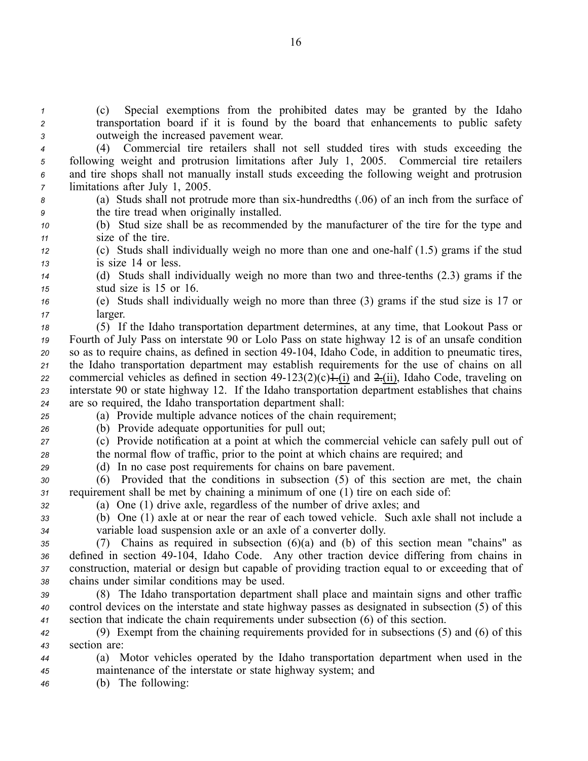*<sup>1</sup>* (c) Special exemptions from the prohibited dates may be granted by the Idaho *<sup>2</sup>* transportation board if it is found by the board that enhancements to public safety *<sup>3</sup>* outweigh the increased pavemen<sup>t</sup> wear.

 (4) Commercial tire retailers shall not sell studded tires with studs exceeding the following weight and protrusion limitations after July 1, 2005. Commercial tire retailers and tire shops shall not manually install studs exceeding the following weight and protrusion limitations after July 1, 2005.

*<sup>8</sup>* (a) Studs shall not protrude more than sixhundredths (.06) of an inch from the surface of *<sup>9</sup>* the tire tread when originally installed.

*<sup>10</sup>* (b) Stud size shall be as recommended by the manufacturer of the tire for the type and *<sup>11</sup>* size of the tire.

*<sup>12</sup>* (c) Studs shall individually weigh no more than one and onehalf (1.5) grams if the stud *<sup>13</sup>* is size 14 or less.

*<sup>14</sup>* (d) Studs shall individually weigh no more than two and threetenths (2.3) grams if the *<sup>15</sup>* stud size is 15 or 16.

*<sup>16</sup>* (e) Studs shall individually weigh no more than three (3) grams if the stud size is 17 or *<sup>17</sup>* larger.

 (5) If the Idaho transportation department determines, at any time, that Lookout Pass or Fourth of July Pass on interstate 90 or Lolo Pass on state highway 12 is of an unsafe condition so as to require chains, as defined in section 49104, Idaho Code, in addition to pneumatic tires, the Idaho transportation department may establish requirements for the use of chains on all commercial vehicles as defined in section  $49-123(2)(c) + (i)$  and  $2-(ii)$ , Idaho Code, traveling on interstate 90 or state highway 12. If the Idaho transportation department establishes that chains are so required, the Idaho transportation department shall:

*<sup>25</sup>* (a) Provide multiple advance notices of the chain requirement;

*<sup>26</sup>* (b) Provide adequate opportunities for pull out;

*<sup>27</sup>* (c) Provide notification at <sup>a</sup> point at which the commercial vehicle can safely pull out of *<sup>28</sup>* the normal flow of traffic, prior to the point at which chains are required; and

*<sup>29</sup>* (d) In no case pos<sup>t</sup> requirements for chains on bare pavement.

*<sup>30</sup>* (6) Provided that the conditions in subsection (5) of this section are met, the chain *<sup>31</sup>* requirement shall be met by chaining <sup>a</sup> minimum of one (1) tire on each side of:

*<sup>32</sup>* (a) One (1) drive axle, regardless of the number of drive axles; and

*<sup>33</sup>* (b) One (1) axle at or near the rear of each towed vehicle. Such axle shall not include <sup>a</sup> *<sup>34</sup>* variable load suspension axle or an axle of <sup>a</sup> converter dolly.

 (7) Chains as required in subsection (6)(a) and (b) of this section mean "chains" as 36 defined in section 49-104, Idaho Code. Any other traction device differing from chains in construction, material or design but capable of providing traction equal to or exceeding that of chains under similar conditions may be used.

*<sup>39</sup>* (8) The Idaho transportation department shall place and maintain signs and other traffic *<sup>40</sup>* control devices on the interstate and state highway passes as designated in subsection (5) of this *<sup>41</sup>* section that indicate the chain requirements under subsection (6) of this section.

*<sup>42</sup>* (9) Exempt from the chaining requirements provided for in subsections (5) and (6) of this *<sup>43</sup>* section are:

*<sup>44</sup>* (a) Motor vehicles operated by the Idaho transportation department when used in the *<sup>45</sup>* maintenance of the interstate or state highway system; and

*<sup>46</sup>* (b) The following: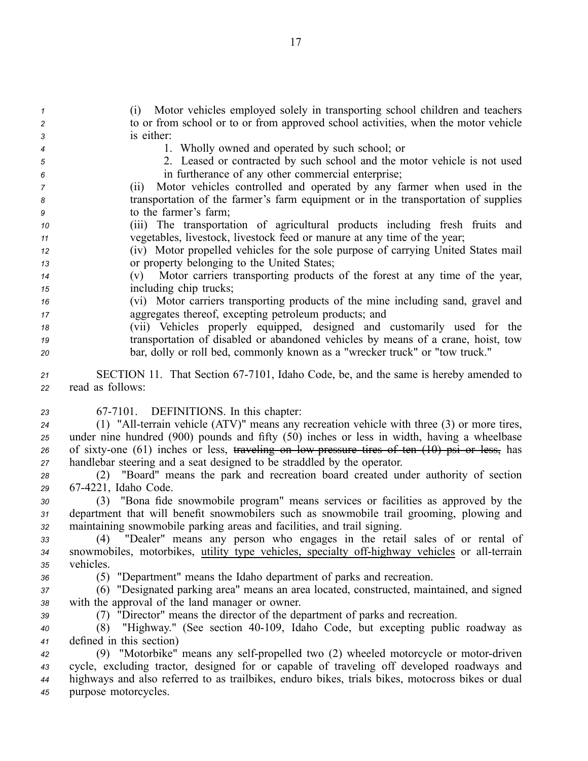(i) Motor vehicles employed solely in transporting school children and teachers to or from school or to or from approved school activities, when the motor vehicle is either: 1. Wholly owned and operated by such school; or 2. Leased or contracted by such school and the motor vehicle is not used in furtherance of any other commercial enterprise; (ii) Motor vehicles controlled and operated by any farmer when used in the transportation of the farmer's farm equipment or in the transportation of supplies to the farmer's farm; (iii) The transportation of agricultural products including fresh fruits and vegetables, livestock, livestock feed or manure at any time of the year; (iv) Motor propelled vehicles for the sole purpose of carrying United States mail or property belonging to the United States; (v) Motor carriers transporting products of the forest at any time of the year, including chip trucks; (vi) Motor carriers transporting products of the mine including sand, gravel and aggregates thereof, excepting petroleum products; and (vii) Vehicles properly equipped, designed and customarily used for the transportation of disabled or abandoned vehicles by means of <sup>a</sup> crane, hoist, tow bar, dolly or roll bed, commonly known as <sup>a</sup> "wrecker truck" or "tow truck." 21 SECTION 11. That Section 67-7101, Idaho Code, be, and the same is hereby amended to read as follows: 677101. DEFINITIONS. In this chapter: 24 (1) "All-terrain vehicle (ATV)" means any recreation vehicle with three (3) or more tires, under nine hundred (900) pounds and fifty (50) inches or less in width, having <sup>a</sup> wheelbase 26 of sixty-one (61) inches or less, traveling on low pressure tires of ten (10) psi or less, has handlebar steering and <sup>a</sup> seat designed to be straddled by the operator. (2) "Board" means the park and recreation board created under authority of section 674221, Idaho Code. (3) "Bona fide snowmobile program" means services or facilities as approved by the department that will benefit snowmobilers such as snowmobile trail grooming, plowing and maintaining snowmobile parking areas and facilities, and trail signing. (4) "Dealer" means any person who engages in the retail sales of or rental of 34 snowmobiles, motorbikes, utility type vehicles, specialty off-highway vehicles or all-terrain vehicles. (5) "Department" means the Idaho department of parks and recreation. (6) "Designated parking area" means an area located, constructed, maintained, and signed with the approval of the land manager or owner. (7) "Director" means the director of the department of parks and recreation. (8) "Highway." (See section 40109, Idaho Code, but excepting public roadway as defined in this section) 42 (9) "Motorbike" means any self-propelled two (2) wheeled motorcycle or motor-driven cycle, excluding tractor, designed for or capable of traveling off developed roadways and highways and also referred to as trailbikes, enduro bikes, trials bikes, motocross bikes or dual purpose motorcycles.

17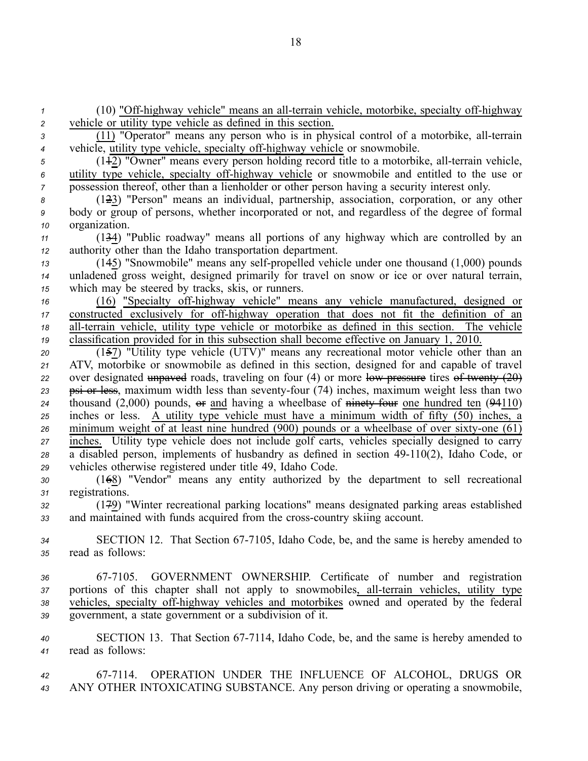(10) "Off-highway vehicle" means an all-terrain vehicle, motorbike, specialty off-highway vehicle or utility type vehicle as defined in this section. 3 (11) "Operator" means any person who is in physical control of a motorbike, all-terrain vehicle, utility type vehicle, specialty off-highway vehicle or snowmobile. <sup>5</sup> (1<sup>12</sup>) "Owner" means every person holding record title to a motorbike, all-terrain vehicle, utility type vehicle, specialty off-highway vehicle or snowmobile and entitled to the use or possession thereof, other than <sup>a</sup> lienholder or other person having <sup>a</sup> security interest only. (123) "Person" means an individual, partnership, association, corporation, or any other body or group of persons, whether incorporated or not, and regardless of the degree of formal organization. (134) "Public roadway" means all portions of any highway which are controlled by an authority other than the Idaho transportation department. (145) "Snowmobile" means any self-propelled vehicle under one thousand (1,000) pounds unladened gross weight, designed primarily for travel on snow or ice or over natural terrain, which may be steered by tracks, skis, or runners. 16 (16) "Specialty off-highway vehicle" means any vehicle manufactured, designed or 17 constructed exclusively for off-highway operation that does not fit the definition of an all-terrain vehicle, utility type vehicle or motorbike as defined in this section. The vehicle classification provided for in this subsection shall become effective on January 1, 2010. (157) "Utility type vehicle (UTV)" means any recreational motor vehicle other than an ATV, motorbike or snowmobile as defined in this section, designed for and capable of travel over designated unpaved roads, traveling on four (4) or more low pressure tires of twenty  $(20)$ 23 psi or less, maximum width less than seventy-four (74) inches, maximum weight less than two thousand (2,000) pounds,  $\Theta$  and having a wheelbase of  $\theta$  ninety four one hundred ten (94110) inches or less. A utility type vehicle must have <sup>a</sup> minimum width of fifty (50) inches, <sup>a</sup> minimum weight of at least nine hundred (900) pounds or a wheelbase of over sixty-one  $(61)$  inches. Utility type vehicle does not include golf carts, vehicles specially designed to carry 28 a disabled person, implements of husbandry as defined in section 49-110(2), Idaho Code, or vehicles otherwise registered under title 49, Idaho Code. (168) "Vendor" means any entity authorized by the department to sell recreational registrations. (179) "Winter recreational parking locations" means designated parking areas established 33 and maintained with funds acquired from the cross-country skiing account. SECTION 12. That Section 677105, Idaho Code, be, and the same is hereby amended to read as follows: 677105. GOVERNMENT OWNERSHIP. Certificate of number and registration portions of this chapter shall not apply to snowmobiles, all-terrain vehicles, utility type 38 vehicles, specialty off-highway vehicles and motorbikes owned and operated by the federal government, <sup>a</sup> state governmen<sup>t</sup> or <sup>a</sup> subdivision of it. 40 SECTION 13. That Section 67-7114, Idaho Code, be, and the same is hereby amended to read as follows: 677114. OPERATION UNDER THE INFLUENCE OF ALCOHOL, DRUGS OR ANY OTHER INTOXICATING SUBSTANCE. Any person driving or operating <sup>a</sup> snowmobile,

18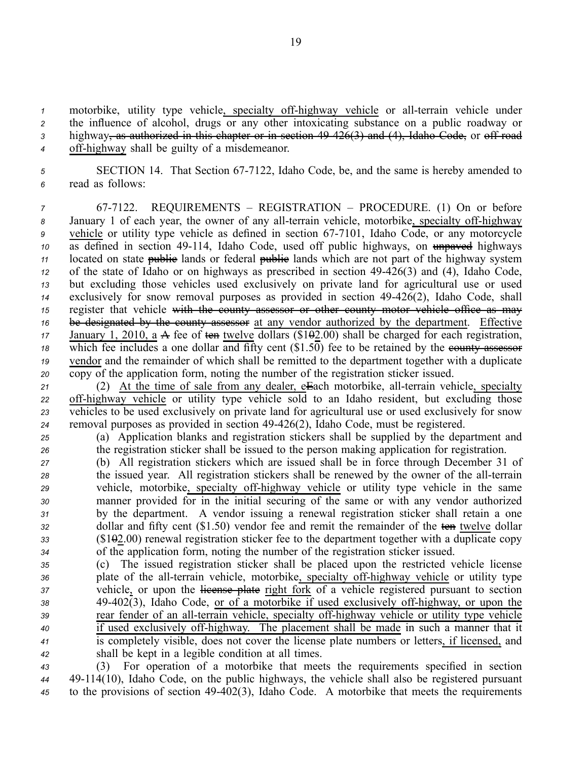motorbike, utility type vehicle, specialty off-highway vehicle or all-terrain vehicle under 2 the influence of alcohol, drugs or any other intoxicating substance on a public roadway or highway, as authorized in this chapter or in section 49426(3) and (4), Idaho Code, or off road off-highway shall be guilty of a misdemeanor.

5 **SECTION 14.** That Section 67-7122, Idaho Code, be, and the same is hereby amended to *<sup>6</sup>* read as follows:

 677122. REQUIREMENTS – REGISTRATION – PROCEDURE. (1) On or before 8 January 1 of each year, the owner of any all-terrain vehicle, motorbike, specialty off-highway <sup>9</sup> vehicle or utility type vehicle as defined in section 67-7101, Idaho Code, or any motorcycle as defined in section 49-114, Idaho Code, used off public highways, on unpaved highways located on state **public** lands or federal **public** lands which are not part of the highway system of the state of Idaho or on highways as prescribed in section 49426(3) and (4), Idaho Code, but excluding those vehicles used exclusively on private land for agricultural use or used exclusively for snow removal purposes as provided in section 49426(2), Idaho Code, shall 15 register that vehicle with the county assessor or other county motor vehicle office as may be designated by the county assessor at any vendor authorized by the department. Effective 17 January 1, 2010, a A fee of ten twelve dollars (\$102.00) shall be charged for each registration, 18 which fee includes a one dollar and fifty cent (\$1.50) fee to be retained by the equally assessor vendor and the remainder of which shall be remitted to the department together with <sup>a</sup> duplicate copy of the application form, noting the number of the registration sticker issued.

21 (2) At the time of sale from any dealer, eEach motorbike, all-terrain vehicle, specialty 22 off-highway vehicle or utility type vehicle sold to an Idaho resident, but excluding those *<sup>23</sup>* vehicles to be used exclusively on private land for agricultural use or used exclusively for snow *<sup>24</sup>* removal purposes as provided in section 49426(2), Idaho Code, must be registered.

*<sup>25</sup>* (a) Application blanks and registration stickers shall be supplied by the department and *<sup>26</sup>* the registration sticker shall be issued to the person making application for registration.

 (b) All registration stickers which are issued shall be in force through December 31 of <sup>28</sup> the issued year. All registration stickers shall be renewed by the owner of the all-terrain vehicle, motorbike, specialty offhighway vehicle or utility type vehicle in the same manner provided for in the initial securing of the same or with any vendor authorized by the department. A vendor issuing <sup>a</sup> renewal registration sticker shall retain <sup>a</sup> one dollar and fifty cent (\$1.50) vendor fee and remit the remainder of the ten twelve dollar (\$102.00) renewal registration sticker fee to the department together with <sup>a</sup> duplicate copy of the application form, noting the number of the registration sticker issued.

 (c) The issued registration sticker shall be placed upon the restricted vehicle license plate of the all-terrain vehicle, motorbike, specialty off-highway vehicle or utility type vehicle, or upon the license plate right fork of a vehicle registered pursuant to section 49-402(3), Idaho Code, or of a motorbike if used exclusively off-highway, or upon the rear fender of an all-terrain vehicle, specialty off-highway vehicle or utility type vehicle if used exclusively off-highway. The placement shall be made in such a manner that it is completely visible, does not cover the license plate numbers or letters, if licensed, and shall be kept in <sup>a</sup> legible condition at all times.

*<sup>43</sup>* (3) For operation of <sup>a</sup> motorbike that meets the requirements specified in section *<sup>44</sup>* 49114(10), Idaho Code, on the public highways, the vehicle shall also be registered pursuan<sup>t</sup> *<sup>45</sup>* to the provisions of section 49402(3), Idaho Code. A motorbike that meets the requirements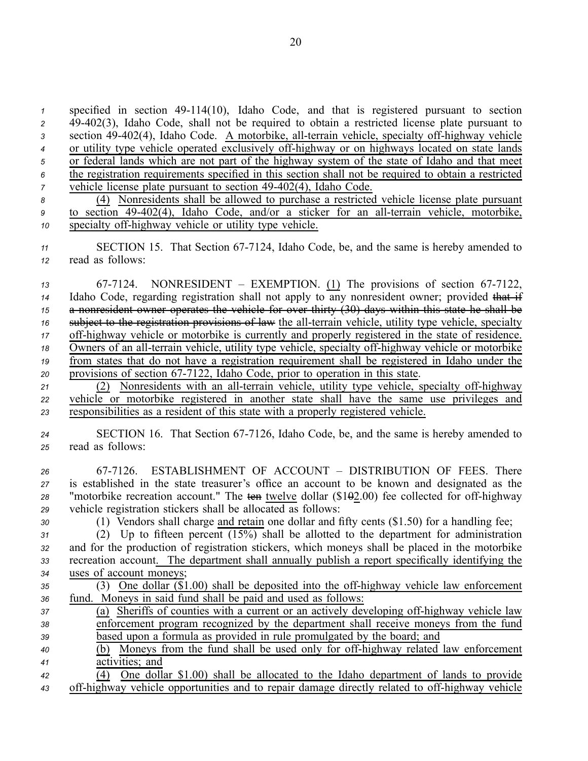specified in section 49114(10), Idaho Code, and that is registered pursuan<sup>t</sup> to section 49402(3), Idaho Code, shall not be required to obtain <sup>a</sup> restricted license plate pursuan<sup>t</sup> to 3 section 49-402(4), Idaho Code. A motorbike, all-terrain vehicle, specialty off-highway vehicle <sup>4</sup> or utility type vehicle operated exclusively off-highway or on highways located on state lands or federal lands which are not par<sup>t</sup> of the highway system of the state of Idaho and that meet the registration requirements specified in this section shall not be required to obtain <sup>a</sup> restricted vehicle license plate pursuant to section 49-402(4), Idaho Code. (4) Nonresidents shall be allowed to purchase <sup>a</sup> restricted vehicle license plate pursuan<sup>t</sup> <sup>9</sup> to section 49-402(4), Idaho Code, and/or a sticker for an all-terrain vehicle, motorbike, specialty off-highway vehicle or utility type vehicle.

11 SECTION 15. That Section 67-7124, Idaho Code, be, and the same is hereby amended to *<sup>12</sup>* read as follows:

13 67-7124. NONRESIDENT – EXEMPTION. (1) The provisions of section 67-7122, 14 Idaho Code, regarding registration shall not apply to any nonresident owner; provided that if *<sup>15</sup>* <sup>a</sup> nonresident owner operates the vehicle for over thirty (30) days within this state he shall be *16* subject to the registration provisions of law the all-terrain vehicle, utility type vehicle, specialty 17 off-highway vehicle or motorbike is currently and properly registered in the state of residence. <sup>18</sup> Owners of an all-terrain vehicle, utility type vehicle, specialty off-highway vehicle or motorbike *<sup>19</sup>* from states that do not have <sup>a</sup> registration requirement shall be registered in Idaho under the 20 provisions of section 67-7122, Idaho Code, prior to operation in this state.

21 (2) Nonresidents with an all-terrain vehicle, utility type vehicle, specialty off-highway *<sup>22</sup>* vehicle or motorbike registered in another state shall have the same use privileges and *<sup>23</sup>* responsibilities as <sup>a</sup> resident of this state with <sup>a</sup> properly registered vehicle.

*<sup>24</sup>* SECTION 16. That Section 677126, Idaho Code, be, and the same is hereby amended to *<sup>25</sup>* read as follows:

 677126. ESTABLISHMENT OF ACCOUNT – DISTRIBUTION OF FEES. There is established in the state treasurer's office an account to be known and designated as the <sup>28</sup> "motorbike recreation account." The ten twelve dollar (\$102.00) fee collected for off-highway vehicle registration stickers shall be allocated as follows:

*<sup>30</sup>* (1) Vendors shall charge and retain one dollar and fifty cents (\$1.50) for <sup>a</sup> handling fee;

 (2) Up to fifteen percent  $(15%)$  shall be allotted to the department for administration and for the production of registration stickers, which moneys shall be placed in the motorbike recreation account. The department shall annually publish <sup>a</sup> repor<sup>t</sup> specifically identifying the uses of account moneys;

| 35 |                                                              |  |  |  |  |  |  |  | $(3)$ One dollar $(\$1.00)$ shall be deposited into the off-highway vehicle law enforcement |  |  |
|----|--------------------------------------------------------------|--|--|--|--|--|--|--|---------------------------------------------------------------------------------------------|--|--|
| 36 | fund. Moneys in said fund shall be paid and used as follows: |  |  |  |  |  |  |  |                                                                                             |  |  |
|    |                                                              |  |  |  |  |  |  |  |                                                                                             |  |  |

- *37* (a) Sheriffs of counties with a current or an actively developing off-highway vehicle law *<sup>38</sup>* enforcement program recognized by the department shall receive moneys from the fund *<sup>39</sup>* based upon <sup>a</sup> formula as provided in rule promulgated by the board; and
- <sup>40</sup> (b) Moneys from the fund shall be used only for off-highway related law enforcement *<sup>41</sup>* activities; and
- *<sup>42</sup>* (4) One dollar \$1.00) shall be allocated to the Idaho department of lands to provide <sup>43</sup> off-highway vehicle opportunities and to repair damage directly related to off-highway vehicle